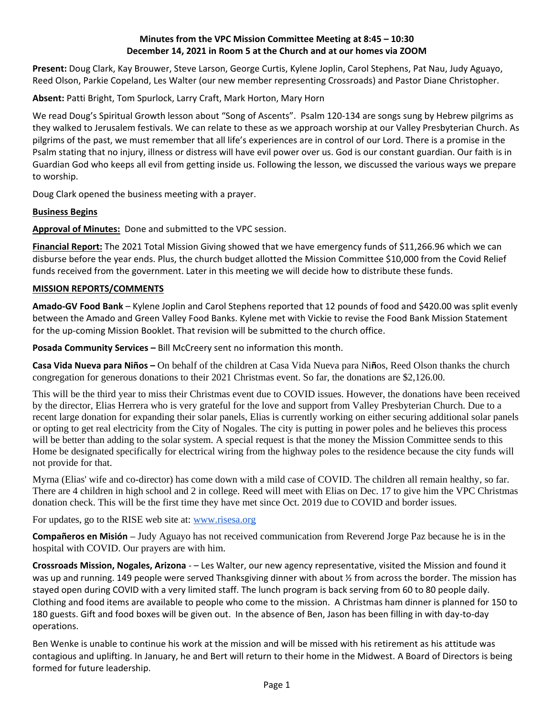# **Minutes from the VPC Mission Committee Meeting at 8:45 – 10:30 December 14, 2021 in Room 5 at the Church and at our homes via ZOOM**

**Present:** Doug Clark, Kay Brouwer, Steve Larson, George Curtis, Kylene Joplin, Carol Stephens, Pat Nau, Judy Aguayo, Reed Olson, Parkie Copeland, Les Walter (our new member representing Crossroads) and Pastor Diane Christopher.

**Absent:** Patti Bright, Tom Spurlock, Larry Craft, Mark Horton, Mary Horn

We read Doug's Spiritual Growth lesson about "Song of Ascents". Psalm 120-134 are songs sung by Hebrew pilgrims as they walked to Jerusalem festivals. We can relate to these as we approach worship at our Valley Presbyterian Church. As pilgrims of the past, we must remember that all life's experiences are in control of our Lord. There is a promise in the Psalm stating that no injury, illness or distress will have evil power over us. God is our constant guardian. Our faith is in Guardian God who keeps all evil from getting inside us. Following the lesson, we discussed the various ways we prepare to worship.

Doug Clark opened the business meeting with a prayer.

# **Business Begins**

**Approval of Minutes:** Done and submitted to the VPC session.

**Financial Report:** The 2021 Total Mission Giving showed that we have emergency funds of \$11,266.96 which we can disburse before the year ends. Plus, the church budget allotted the Mission Committee \$10,000 from the Covid Relief funds received from the government. Later in this meeting we will decide how to distribute these funds.

## **MISSION REPORTS/COMMENTS**

**Amado-GV Food Bank** – Kylene Joplin and Carol Stephens reported that 12 pounds of food and \$420.00 was split evenly between the Amado and Green Valley Food Banks. Kylene met with Vickie to revise the Food Bank Mission Statement for the up-coming Mission Booklet. That revision will be submitted to the church office.

**Posada Community Services –** Bill McCreery sent no information this month.

**Casa Vida Nueva para Niños –** On behalf of the children at Casa Vida Nueva para Ni**ñ**os, Reed Olson thanks the church congregation for generous donations to their 2021 Christmas event. So far, the donations are \$2,126.00.

This will be the third year to miss their Christmas event due to COVID issues. However, the donations have been received by the director, Elias Herrera who is very grateful for the love and support from Valley Presbyterian Church. Due to a recent large donation for expanding their solar panels, Elias is currently working on either securing additional solar panels or opting to get real electricity from the City of Nogales. The city is putting in power poles and he believes this process will be better than adding to the solar system. A special request is that the money the Mission Committee sends to this Home be designated specifically for electrical wiring from the highway poles to the residence because the city funds will not provide for that.

Myrna (Elias' wife and co-director) has come down with a mild case of COVID. The children all remain healthy, so far. There are 4 children in high school and 2 in college. Reed will meet with Elias on Dec. 17 to give him the VPC Christmas donation check. This will be the first time they have met since Oct. 2019 due to COVID and border issues.

For updates, go to the RISE web site at: [www.risesa.org](http://www.rises.org/)

**Compañeros en Misión –** Judy Aguayo has not received communication from Reverend Jorge Paz because he is in the hospital with COVID. Our prayers are with him.

**Crossroads Mission, Nogales, Arizona** - – Les Walter, our new agency representative, visited the Mission and found it was up and running. 149 people were served Thanksgiving dinner with about  $\frac{1}{2}$  from across the border. The mission has stayed open during COVID with a very limited staff. The lunch program is back serving from 60 to 80 people daily. Clothing and food items are available to people who come to the mission. A Christmas ham dinner is planned for 150 to 180 guests. Gift and food boxes will be given out. In the absence of Ben, Jason has been filling in with day-to-day operations.

Ben Wenke is unable to continue his work at the mission and will be missed with his retirement as his attitude was contagious and uplifting. In January, he and Bert will return to their home in the Midwest. A Board of Directors is being formed for future leadership.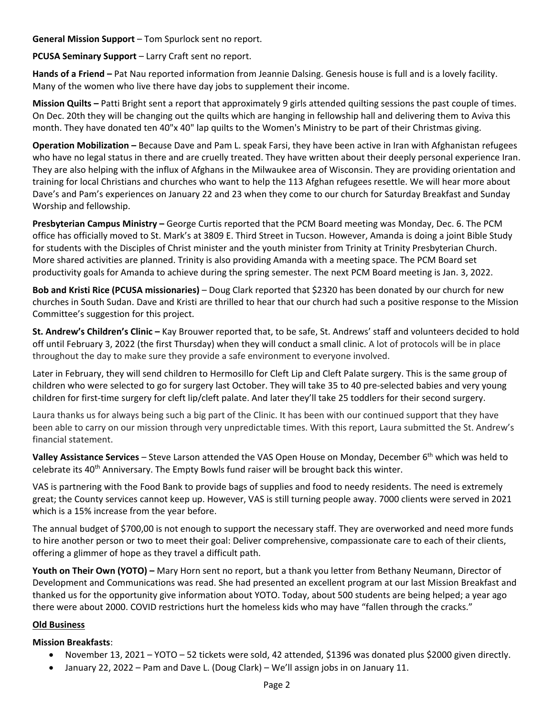**General Mission Support** – Tom Spurlock sent no report.

**PCUSA Seminary Support** – Larry Craft sent no report.

**Hands of a Friend –** Pat Nau reported information from Jeannie Dalsing. Genesis house is full and is a lovely facility. Many of the women who live there have day jobs to supplement their income.

**Mission Quilts –** Patti Bright sent a report that approximately 9 girls attended quilting sessions the past couple of times. On Dec. 20th they will be changing out the quilts which are hanging in fellowship hall and delivering them to Aviva this month. They have donated ten 40"x 40" lap quilts to the Women's Ministry to be part of their Christmas giving.

**Operation Mobilization –** Because Dave and Pam L. speak Farsi, they have been active in Iran with Afghanistan refugees who have no legal status in there and are cruelly treated. They have written about their deeply personal experience Iran. They are also helping with the influx of Afghans in the Milwaukee area of Wisconsin. They are providing orientation and training for local Christians and churches who want to help the 113 Afghan refugees resettle. We will hear more about Dave's and Pam's experiences on January 22 and 23 when they come to our church for Saturday Breakfast and Sunday Worship and fellowship.

**Presbyterian Campus Ministry –** George Curtis reported that the PCM Board meeting was Monday, Dec. 6. The PCM office has officially moved to St. Mark's at 3809 E. Third Street in Tucson. However, Amanda is doing a joint Bible Study for students with the Disciples of Christ minister and the youth minister from Trinity at Trinity Presbyterian Church. More shared activities are planned. Trinity is also providing Amanda with a meeting space. The PCM Board set productivity goals for Amanda to achieve during the spring semester. The next PCM Board meeting is Jan. 3, 2022.

**Bob and Kristi Rice (PCUSA missionaries)** – Doug Clark reported that \$2320 has been donated by our church for new churches in South Sudan. Dave and Kristi are thrilled to hear that our church had such a positive response to the Mission Committee's suggestion for this project.

**St. Andrew's Children's Clinic –** Kay Brouwer reported that, to be safe, St. Andrews' staff and volunteers decided to hold off until February 3, 2022 (the first Thursday) when they will conduct a small clinic. A lot of protocols will be in place throughout the day to make sure they provide a safe environment to everyone involved.

Later in February, they will send children to Hermosillo for Cleft Lip and Cleft Palate surgery. This is the same group of children who were selected to go for surgery last October. They will take 35 to 40 pre-selected babies and very young children for first-time surgery for cleft lip/cleft palate. And later they'll take 25 toddlers for their second surgery.

Laura thanks us for always being such a big part of the Clinic. It has been with our continued support that they have been able to carry on our mission through very unpredictable times. With this report, Laura submitted the St. Andrew's financial statement.

**Valley Assistance Services** – Steve Larson attended the VAS Open House on Monday, December 6th which was held to celebrate its  $40<sup>th</sup>$  Anniversary. The Empty Bowls fund raiser will be brought back this winter.

VAS is partnering with the Food Bank to provide bags of supplies and food to needy residents. The need is extremely great; the County services cannot keep up. However, VAS is still turning people away. 7000 clients were served in 2021 which is a 15% increase from the year before.

The annual budget of \$700,00 is not enough to support the necessary staff. They are overworked and need more funds to hire another person or two to meet their goal: Deliver comprehensive, compassionate care to each of their clients, offering a glimmer of hope as they travel a difficult path.

**Youth on Their Own (YOTO) –** Mary Horn sent no report, but a thank you letter from Bethany Neumann, Director of Development and Communications was read. She had presented an excellent program at our last Mission Breakfast and thanked us for the opportunity give information about YOTO. Today, about 500 students are being helped; a year ago there were about 2000. COVID restrictions hurt the homeless kids who may have "fallen through the cracks."

# **Old Business**

## **Mission Breakfasts**:

- November 13, 2021 YOTO 52 tickets were sold, 42 attended, \$1396 was donated plus \$2000 given directly.
- January 22, 2022 Pam and Dave L. (Doug Clark) We'll assign jobs in on January 11.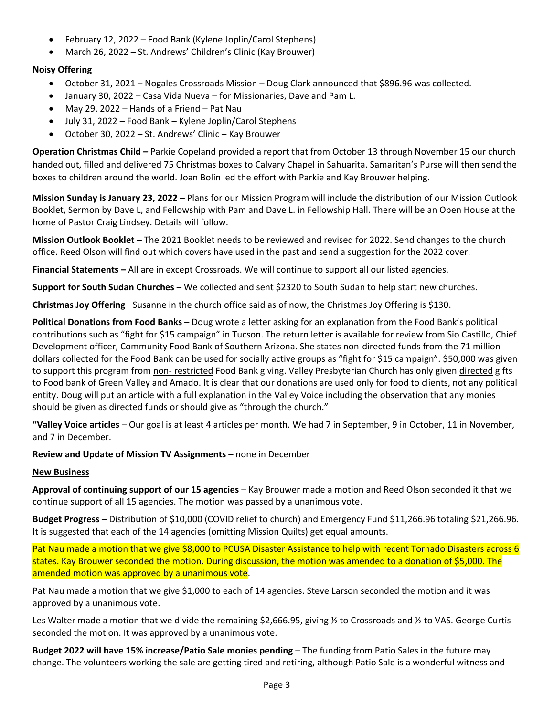- February 12, 2022 Food Bank (Kylene Joplin/Carol Stephens)
- March 26, 2022 St. Andrews' Children's Clinic (Kay Brouwer)

## **Noisy Offering**

- October 31, 2021 Nogales Crossroads Mission Doug Clark announced that \$896.96 was collected.
- January 30, 2022 Casa Vida Nueva for Missionaries, Dave and Pam L.
- May 29, 2022 Hands of a Friend Pat Nau
- July 31, 2022 Food Bank Kylene Joplin/Carol Stephens
- October 30, 2022 St. Andrews' Clinic Kay Brouwer

**Operation Christmas Child –** Parkie Copeland provided a report that from October 13 through November 15 our church handed out, filled and delivered 75 Christmas boxes to Calvary Chapel in Sahuarita. Samaritan's Purse will then send the boxes to children around the world. Joan Bolin led the effort with Parkie and Kay Brouwer helping.

**Mission Sunday is January 23, 2022 –** Plans for our Mission Program will include the distribution of our Mission Outlook Booklet, Sermon by Dave L, and Fellowship with Pam and Dave L. in Fellowship Hall. There will be an Open House at the home of Pastor Craig Lindsey. Details will follow.

**Mission Outlook Booklet –** The 2021 Booklet needs to be reviewed and revised for 2022. Send changes to the church office. Reed Olson will find out which covers have used in the past and send a suggestion for the 2022 cover.

**Financial Statements –** All are in except Crossroads. We will continue to support all our listed agencies.

**Support for South Sudan Churches** – We collected and sent \$2320 to South Sudan to help start new churches.

**Christmas Joy Offering** –Susanne in the church office said as of now, the Christmas Joy Offering is \$130.

**Political Donations from Food Banks** – Doug wrote a letter asking for an explanation from the Food Bank's political contributions such as "fight for \$15 campaign" in Tucson. The return letter is available for review from Sio Castillo, Chief Development officer, Community Food Bank of Southern Arizona. She states non-directed funds from the 71 million dollars collected for the Food Bank can be used for socially active groups as "fight for \$15 campaign". \$50,000 was given to support this program from non- restricted Food Bank giving. Valley Presbyterian Church has only given directed gifts to Food bank of Green Valley and Amado. It is clear that our donations are used only for food to clients, not any political entity. Doug will put an article with a full explanation in the Valley Voice including the observation that any monies should be given as directed funds or should give as "through the church."

**"Valley Voice articles** – Our goal is at least 4 articles per month. We had 7 in September, 9 in October, 11 in November, and 7 in December.

**Review and Update of Mission TV Assignments** – none in December

## **New Business**

**Approval of continuing support of our 15 agencies** – Kay Brouwer made a motion and Reed Olson seconded it that we continue support of all 15 agencies. The motion was passed by a unanimous vote.

**Budget Progress** – Distribution of \$10,000 (COVID relief to church) and Emergency Fund \$11,266.96 totaling \$21,266.96. It is suggested that each of the 14 agencies (omitting Mission Quilts) get equal amounts.

Pat Nau made a motion that we give \$8,000 to PCUSA Disaster Assistance to help with recent Tornado Disasters across 6 states. Kay Brouwer seconded the motion. During discussion, the motion was amended to a donation of \$5,000. The amended motion was approved by a unanimous vote.

Pat Nau made a motion that we give \$1,000 to each of 14 agencies. Steve Larson seconded the motion and it was approved by a unanimous vote.

Les Walter made a motion that we divide the remaining \$2,666.95, giving % to Crossroads and % to VAS. George Curtis seconded the motion. It was approved by a unanimous vote.

**Budget 2022 will have 15% increase/Patio Sale monies pending** – The funding from Patio Sales in the future may change. The volunteers working the sale are getting tired and retiring, although Patio Sale is a wonderful witness and